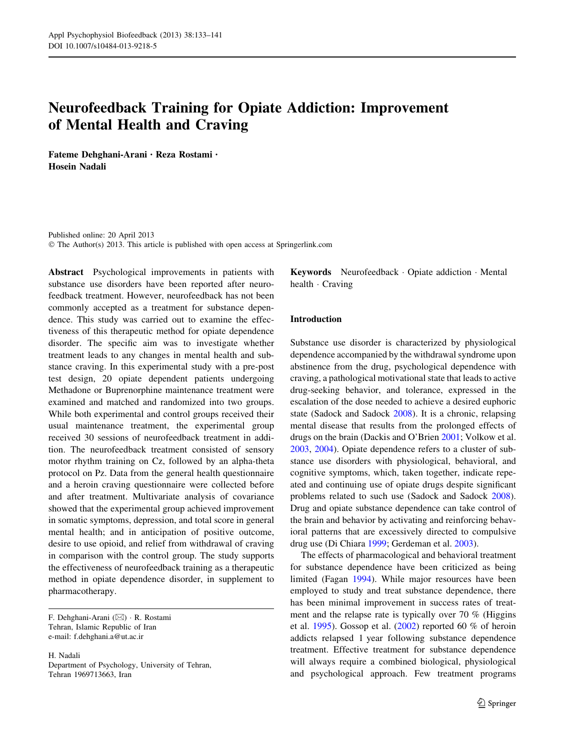# Neurofeedback Training for Opiate Addiction: Improvement of Mental Health and Craving

Fateme Dehghani-Arani • Reza Rostami • Hosein Nadali

Published online: 20 April 2013 © The Author(s) 2013. This article is published with open access at Springerlink.com

Abstract Psychological improvements in patients with substance use disorders have been reported after neurofeedback treatment. However, neurofeedback has not been commonly accepted as a treatment for substance dependence. This study was carried out to examine the effectiveness of this therapeutic method for opiate dependence disorder. The specific aim was to investigate whether treatment leads to any changes in mental health and substance craving. In this experimental study with a pre-post test design, 20 opiate dependent patients undergoing Methadone or Buprenorphine maintenance treatment were examined and matched and randomized into two groups. While both experimental and control groups received their usual maintenance treatment, the experimental group received 30 sessions of neurofeedback treatment in addition. The neurofeedback treatment consisted of sensory motor rhythm training on Cz, followed by an alpha-theta protocol on Pz. Data from the general health questionnaire and a heroin craving questionnaire were collected before and after treatment. Multivariate analysis of covariance showed that the experimental group achieved improvement in somatic symptoms, depression, and total score in general mental health; and in anticipation of positive outcome, desire to use opioid, and relief from withdrawal of craving in comparison with the control group. The study supports the effectiveness of neurofeedback training as a therapeutic method in opiate dependence disorder, in supplement to pharmacotherapy.

H. Nadali

Department of Psychology, University of Tehran, Tehran 1969713663, Iran

Keywords Neurofeedback · Opiate addiction · Mental health · Craving

#### Introduction

Substance use disorder is characterized by physiological dependence accompanied by the withdrawal syndrome upon abstinence from the drug, psychological dependence with craving, a pathological motivational state that leads to active drug-seeking behavior, and tolerance, expressed in the escalation of the dose needed to achieve a desired euphoric state (Sadock and Sadock [2008\)](#page-8-0). It is a chronic, relapsing mental disease that results from the prolonged effects of drugs on the brain (Dackis and O'Brien [2001](#page-7-0); Volkow et al. [2003](#page-8-0), [2004\)](#page-8-0). Opiate dependence refers to a cluster of substance use disorders with physiological, behavioral, and cognitive symptoms, which, taken together, indicate repeated and continuing use of opiate drugs despite significant problems related to such use (Sadock and Sadock [2008](#page-8-0)). Drug and opiate substance dependence can take control of the brain and behavior by activating and reinforcing behavioral patterns that are excessively directed to compulsive drug use (Di Chiara [1999;](#page-7-0) Gerdeman et al. [2003](#page-7-0)).

The effects of pharmacological and behavioral treatment for substance dependence have been criticized as being limited (Fagan [1994\)](#page-7-0). While major resources have been employed to study and treat substance dependence, there has been minimal improvement in success rates of treatment and the relapse rate is typically over 70 % (Higgins et al. [1995\)](#page-7-0). Gossop et al. ([2002\)](#page-7-0) reported 60 % of heroin addicts relapsed 1 year following substance dependence treatment. Effective treatment for substance dependence will always require a combined biological, physiological and psychological approach. Few treatment programs

F. Dehghani-Arani (⊠) · R. Rostami Tehran, Islamic Republic of Iran e-mail: f.dehghani.a@ut.ac.ir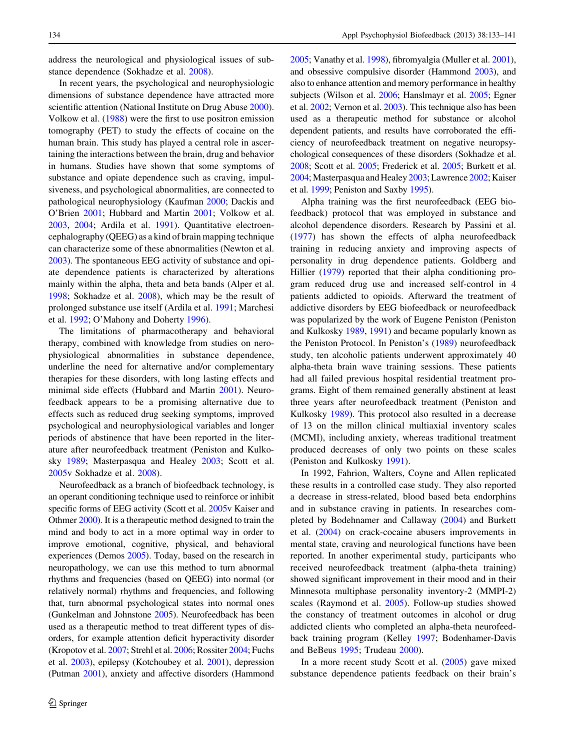address the neurological and physiological issues of substance dependence (Sokhadze et al. [2008](#page-8-0)).

In recent years, the psychological and neurophysiologic dimensions of substance dependence have attracted more scientific attention (National Institute on Drug Abuse [2000](#page-8-0)). Volkow et al. [\(1988](#page-8-0)) were the first to use positron emission tomography (PET) to study the effects of cocaine on the human brain. This study has played a central role in ascertaining the interactions between the brain, drug and behavior in humans. Studies have shown that some symptoms of substance and opiate dependence such as craving, impulsiveness, and psychological abnormalities, are connected to pathological neurophysiology (Kaufman [2000;](#page-7-0) Dackis and O'Brien [2001](#page-7-0); Hubbard and Martin [2001](#page-7-0); Volkow et al. [2003,](#page-8-0) [2004](#page-8-0); Ardila et al. [1991\)](#page-7-0). Quantitative electroencephalography (QEEG) as a kind of brain mapping technique can characterize some of these abnormalities (Newton et al. [2003\)](#page-8-0). The spontaneous EEG activity of substance and opiate dependence patients is characterized by alterations mainly within the alpha, theta and beta bands (Alper et al. [1998;](#page-7-0) Sokhadze et al. [2008\)](#page-8-0), which may be the result of prolonged substance use itself (Ardila et al. [1991;](#page-7-0) Marchesi et al. [1992](#page-8-0); O'Mahony and Doherty [1996\)](#page-8-0).

The limitations of pharmacotherapy and behavioral therapy, combined with knowledge from studies on nerophysiological abnormalities in substance dependence, underline the need for alternative and/or complementary therapies for these disorders, with long lasting effects and minimal side effects (Hubbard and Martin [2001](#page-7-0)). Neurofeedback appears to be a promising alternative due to effects such as reduced drug seeking symptoms, improved psychological and neurophysiological variables and longer periods of abstinence that have been reported in the literature after neurofeedback treatment (Peniston and Kulkosky [1989](#page-8-0); Masterpasqua and Healey [2003;](#page-8-0) Scott et al. [2005v](#page-8-0) Sokhadze et al. [2008](#page-8-0)).

Neurofeedback as a branch of biofeedback technology, is an operant conditioning technique used to reinforce or inhibit specific forms of EEG activity (Scott et al. [2005v](#page-8-0) Kaiser and Othmer [2000\)](#page-7-0). It is a therapeutic method designed to train the mind and body to act in a more optimal way in order to improve emotional, cognitive, physical, and behavioral experiences (Demos [2005\)](#page-7-0). Today, based on the research in neuropathology, we can use this method to turn abnormal rhythms and frequencies (based on QEEG) into normal (or relatively normal) rhythms and frequencies, and following that, turn abnormal psychological states into normal ones (Gunkelman and Johnstone [2005](#page-7-0)). Neurofeedback has been used as a therapeutic method to treat different types of disorders, for example attention deficit hyperactivity disorder (Kropotov et al. [2007](#page-7-0); Strehl et al. [2006](#page-8-0); Rossiter [2004](#page-8-0); Fuchs et al. [2003](#page-7-0)), epilepsy (Kotchoubey et al. [2001](#page-7-0)), depression (Putman [2001](#page-8-0)), anxiety and affective disorders (Hammond [2005;](#page-7-0) Vanathy et al. [1998](#page-8-0)), fibromyalgia (Muller et al. [2001\)](#page-8-0), and obsessive compulsive disorder (Hammond [2003](#page-7-0)), and also to enhance attention and memory performance in healthy subjects (Wilson et al. [2006](#page-8-0); Hanslmayr et al. [2005;](#page-7-0) Egner et al. [2002;](#page-7-0) Vernon et al. [2003](#page-8-0)). This technique also has been used as a therapeutic method for substance or alcohol dependent patients, and results have corroborated the efficiency of neurofeedback treatment on negative neuropsychological consequences of these disorders (Sokhadze et al. [2008;](#page-8-0) Scott et al. [2005](#page-8-0); Frederick et al. [2005](#page-7-0); Burkett et al. [2004;](#page-7-0) Masterpasqua and Healey [2003](#page-8-0); Lawrence [2002](#page-8-0); Kaiser et al. [1999](#page-7-0); Peniston and Saxby [1995\)](#page-8-0).

Alpha training was the first neurofeedback (EEG biofeedback) protocol that was employed in substance and alcohol dependence disorders. Research by Passini et al. [\(1977](#page-8-0)) has shown the effects of alpha neurofeedback training in reducing anxiety and improving aspects of personality in drug dependence patients. Goldberg and Hillier ([1979\)](#page-7-0) reported that their alpha conditioning program reduced drug use and increased self-control in 4 patients addicted to opioids. Afterward the treatment of addictive disorders by EEG biofeedback or neurofeedback was popularized by the work of Eugene Peniston (Peniston and Kulkosky [1989](#page-8-0), [1991](#page-8-0)) and became popularly known as the Peniston Protocol. In Peniston's ([1989\)](#page-8-0) neurofeedback study, ten alcoholic patients underwent approximately 40 alpha-theta brain wave training sessions. These patients had all failed previous hospital residential treatment programs. Eight of them remained generally abstinent at least three years after neurofeedback treatment (Peniston and Kulkosky [1989](#page-8-0)). This protocol also resulted in a decrease of 13 on the millon clinical multiaxial inventory scales (MCMI), including anxiety, whereas traditional treatment produced decreases of only two points on these scales (Peniston and Kulkosky [1991](#page-8-0)).

In 1992, Fahrion, Walters, Coyne and Allen replicated these results in a controlled case study. They also reported a decrease in stress-related, blood based beta endorphins and in substance craving in patients. In researches completed by Bodehnamer and Callaway [\(2004](#page-7-0)) and Burkett et al. [\(2004](#page-7-0)) on crack-cocaine abusers improvements in mental state, craving and neurological functions have been reported. In another experimental study, participants who received neurofeedback treatment (alpha-theta training) showed significant improvement in their mood and in their Minnesota multiphase personality inventory-2 (MMPI-2) scales (Raymond et al. [2005](#page-8-0)). Follow-up studies showed the constancy of treatment outcomes in alcohol or drug addicted clients who completed an alpha-theta neurofeedback training program (Kelley [1997;](#page-7-0) Bodenhamer-Davis and BeBeus [1995](#page-7-0); Trudeau [2000](#page-8-0)).

In a more recent study Scott et al. [\(2005](#page-8-0)) gave mixed substance dependence patients feedback on their brain's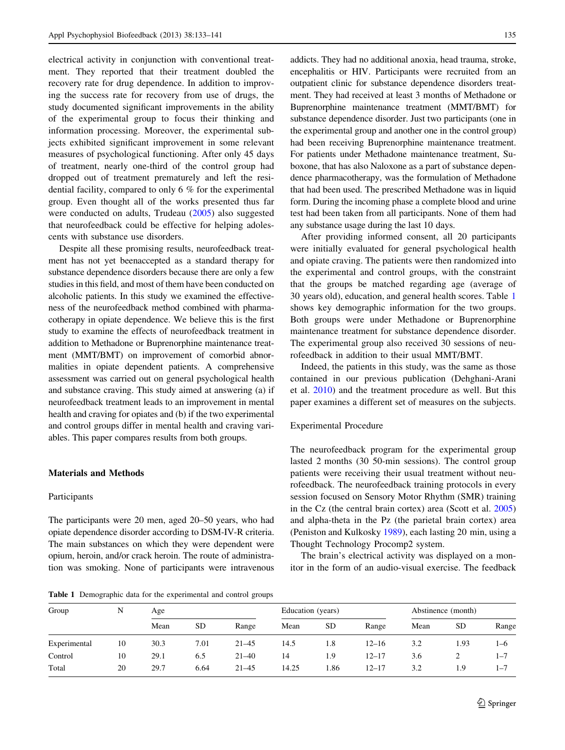electrical activity in conjunction with conventional treatment. They reported that their treatment doubled the recovery rate for drug dependence. In addition to improving the success rate for recovery from use of drugs, the study documented significant improvements in the ability of the experimental group to focus their thinking and information processing. Moreover, the experimental subjects exhibited significant improvement in some relevant measures of psychological functioning. After only 45 days of treatment, nearly one-third of the control group had dropped out of treatment prematurely and left the residential facility, compared to only 6 % for the experimental group. Even thought all of the works presented thus far were conducted on adults, Trudeau ([2005\)](#page-8-0) also suggested that neurofeedback could be effective for helping adolescents with substance use disorders.

Despite all these promising results, neurofeedback treatment has not yet beenaccepted as a standard therapy for substance dependence disorders because there are only a few studies in this field, and most of them have been conducted on alcoholic patients. In this study we examined the effectiveness of the neurofeedback method combined with pharmacotherapy in opiate dependence. We believe this is the first study to examine the effects of neurofeedback treatment in addition to Methadone or Buprenorphine maintenance treatment (MMT/BMT) on improvement of comorbid abnormalities in opiate dependent patients. A comprehensive assessment was carried out on general psychological health and substance craving. This study aimed at answering (a) if neurofeedback treatment leads to an improvement in mental health and craving for opiates and (b) if the two experimental and control groups differ in mental health and craving variables. This paper compares results from both groups.

#### Materials and Methods

#### Participants

The participants were 20 men, aged 20–50 years, who had opiate dependence disorder according to DSM-IV-R criteria. The main substances on which they were dependent were opium, heroin, and/or crack heroin. The route of administration was smoking. None of participants were intravenous

Table 1 Demographic data for the experimental and control groups

addicts. They had no additional anoxia, head trauma, stroke, encephalitis or HIV. Participants were recruited from an outpatient clinic for substance dependence disorders treatment. They had received at least 3 months of Methadone or Buprenorphine maintenance treatment (MMT/BMT) for substance dependence disorder. Just two participants (one in the experimental group and another one in the control group) had been receiving Buprenorphine maintenance treatment. For patients under Methadone maintenance treatment, Suboxone, that has also Naloxone as a part of substance dependence pharmacotherapy, was the formulation of Methadone that had been used. The prescribed Methadone was in liquid form. During the incoming phase a complete blood and urine test had been taken from all participants. None of them had any substance usage during the last 10 days.

After providing informed consent, all 20 participants were initially evaluated for general psychological health and opiate craving. The patients were then randomized into the experimental and control groups, with the constraint that the groups be matched regarding age (average of 30 years old), education, and general health scores. Table 1 shows key demographic information for the two groups. Both groups were under Methadone or Buprenorphine maintenance treatment for substance dependence disorder. The experimental group also received 30 sessions of neurofeedback in addition to their usual MMT/BMT.

Indeed, the patients in this study, was the same as those contained in our previous publication (Dehghani-Arani et al. [2010](#page-7-0)) and the treatment procedure as well. But this paper examines a different set of measures on the subjects.

#### Experimental Procedure

The neurofeedback program for the experimental group lasted 2 months (30 50-min sessions). The control group patients were receiving their usual treatment without neurofeedback. The neurofeedback training protocols in every session focused on Sensory Motor Rhythm (SMR) training in the Cz (the central brain cortex) area (Scott et al. [2005\)](#page-8-0) and alpha-theta in the Pz (the parietal brain cortex) area (Peniston and Kulkosky [1989](#page-8-0)), each lasting 20 min, using a Thought Technology Procomp2 system.

The brain's electrical activity was displayed on a monitor in the form of an audio-visual exercise. The feedback

| Group        | N  | Age  |           |           | Education (years) |      |           | Abstinence (month) |           |         |
|--------------|----|------|-----------|-----------|-------------------|------|-----------|--------------------|-----------|---------|
|              |    | Mean | <b>SD</b> | Range     | Mean              | SD   | Range     | Mean               | <b>SD</b> | Range   |
| Experimental | 10 | 30.3 | 7.01      | $21 - 45$ | 14.5              | 1.8  | $12 - 16$ | 3.2                | 1.93      | $1 - 6$ |
| Control      | 10 | 29.1 | 6.5       | $21 - 40$ | 14                | 1.9  | $12 - 17$ | 3.6                |           | $1 - 7$ |
| Total        | 20 | 29.7 | 6.64      | $21 - 45$ | 14.25             | 1.86 | $12 - 17$ | 3.2                | 1.9       | $1 - 7$ |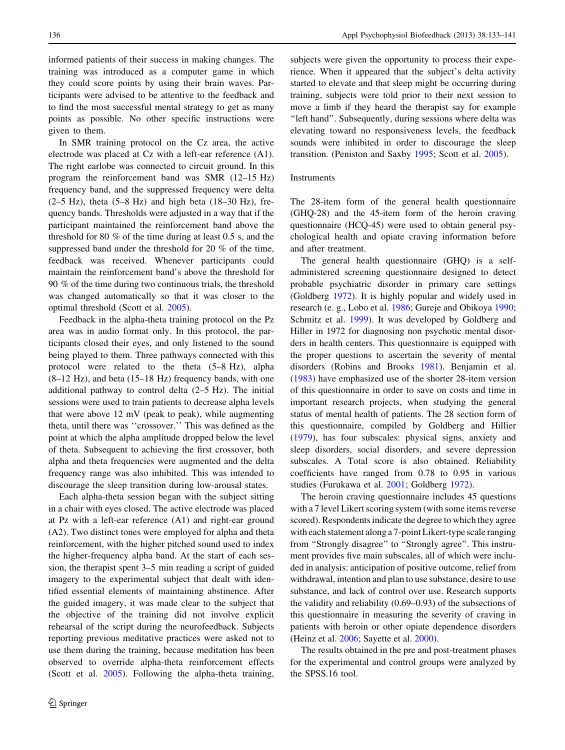informed patients of their success in making changes. The training was introduced as a computer game in which they could score points by using their brain waves. Participants were advised to be attentive to the feedback and to find the most successful mental strategy to get as many points as possible. No other specific instructions were given to them.

In SMR training protocol on the Cz area, the active electrode was placed at Cz with a left-ear reference (A1). The right earlobe was connected to circuit ground. In this program the reinforcement band was SMR (12–15 Hz) frequency band, and the suppressed frequency were delta  $(2-5$  Hz), theta  $(5-8$  Hz) and high beta  $(18-30)$  Hz), frequency bands. Thresholds were adjusted in a way that if the participant maintained the reinforcement band above the threshold for 80 % of the time during at least 0.5 s, and the suppressed band under the threshold for 20 % of the time, feedback was received. Whenever participants could maintain the reinforcement band's above the threshold for 90 % of the time during two continuous trials, the threshold was changed automatically so that it was closer to the optimal threshold (Scott et al. [2005](#page-8-0)).

Feedback in the alpha-theta training protocol on the Pz area was in audio format only. In this protocol, the participants closed their eyes, and only listened to the sound being played to them. Three pathways connected with this protocol were related to the theta (5–8 Hz), alpha  $(8-12 \text{ Hz})$ , and beta  $(15-18 \text{ Hz})$  frequency bands, with one additional pathway to control delta (2–5 Hz). The initial sessions were used to train patients to decrease alpha levels that were above 12 mV (peak to peak), while augmenting theta, until there was ''crossover.'' This was defined as the point at which the alpha amplitude dropped below the level of theta. Subsequent to achieving the first crossover, both alpha and theta frequencies were augmented and the delta frequency range was also inhibited. This was intended to discourage the sleep transition during low-arousal states.

Each alpha-theta session began with the subject sitting in a chair with eyes closed. The active electrode was placed at Pz with a left-ear reference (A1) and right-ear ground (A2). Two distinct tones were employed for alpha and theta reinforcement, with the higher pitched sound used to index the higher-frequency alpha band. At the start of each session, the therapist spent 3–5 min reading a script of guided imagery to the experimental subject that dealt with identified essential elements of maintaining abstinence. After the guided imagery, it was made clear to the subject that the objective of the training did not involve explicit rehearsal of the script during the neurofeedback. Subjects reporting previous meditative practices were asked not to use them during the training, because meditation has been observed to override alpha-theta reinforcement effects (Scott et al. [2005\)](#page-8-0). Following the alpha-theta training, subjects were given the opportunity to process their experience. When it appeared that the subject's delta activity started to elevate and that sleep might be occurring during training, subjects were told prior to their next session to move a limb if they heard the therapist say for example "left hand". Subsequently, during sessions where delta was elevating toward no responsiveness levels, the feedback sounds were inhibited in order to discourage the sleep transition. (Peniston and Saxby [1995;](#page-8-0) Scott et al. [2005\)](#page-8-0).

#### **Instruments**

The 28-item form of the general health questionnaire (GHQ-28) and the 45-item form of the heroin craving questionnaire (HCQ-45) were used to obtain general psychological health and opiate craving information before and after treatment.

The general health questionnaire (GHQ) is a selfadministered screening questionnaire designed to detect probable psychiatric disorder in primary care settings (Goldberg [1972\)](#page-7-0). It is highly popular and widely used in research (e. g., Lobo et al. [1986;](#page-8-0) Gureje and Obikoya [1990](#page-7-0); Schmitz et al. [1999\)](#page-8-0). It was developed by Goldberg and Hiller in 1972 for diagnosing non psychotic mental disorders in health centers. This questionnaire is equipped with the proper questions to ascertain the severity of mental disorders (Robins and Brooks [1981](#page-8-0)). Benjamin et al. [\(1983](#page-7-0)) have emphasized use of the shorter 28-item version of this questionnaire in order to save on costs and time in important research projects, when studying the general status of mental health of patients. The 28 section form of this questionnaire, compiled by Goldberg and Hillier [\(1979](#page-7-0)), has four subscales: physical signs, anxiety and sleep disorders, social disorders, and severe depression subscales. A Total score is also obtained. Reliability coefficients have ranged from 0.78 to 0.95 in various studies (Furukawa et al. [2001](#page-7-0); Goldberg [1972\)](#page-7-0).

The heroin craving questionnaire includes 45 questions with a 7 level Likert scoring system (with some items reverse scored). Respondents indicate the degree to which they agree with each statement along a 7-point Likert-type scale ranging from "Strongly disagree" to "Strongly agree". This instrument provides five main subscales, all of which were included in analysis: anticipation of positive outcome, relief from withdrawal, intention and plan to use substance, desire to use substance, and lack of control over use. Research supports the validity and reliability (0.69–0.93) of the subsections of this questionnaire in measuring the severity of craving in patients with heroin or other opiate dependence disorders (Heinz et al. [2006;](#page-7-0) Sayette et al. [2000](#page-8-0)).

The results obtained in the pre and post-treatment phases for the experimental and control groups were analyzed by the SPSS.16 tool.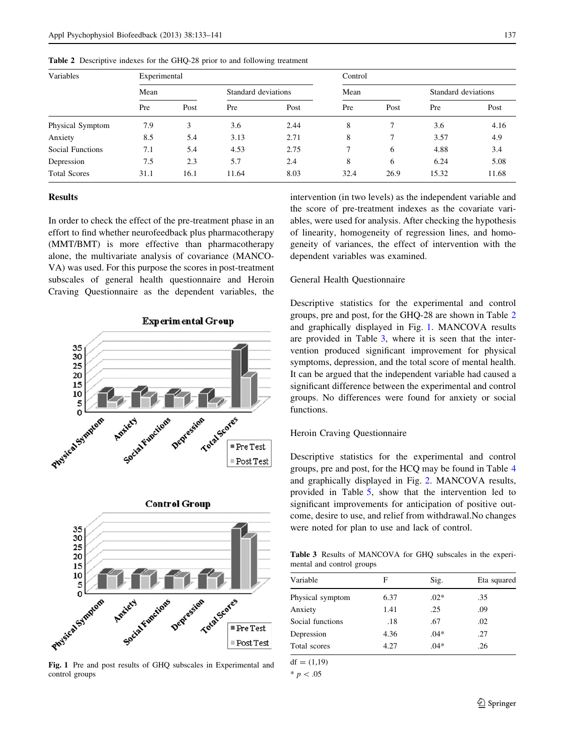| Variables               | Experimental |      |                     |      | Control |      |                     |       |  |
|-------------------------|--------------|------|---------------------|------|---------|------|---------------------|-------|--|
|                         | Mean         |      | Standard deviations |      | Mean    |      | Standard deviations |       |  |
|                         | Pre          | Post | Pre                 | Post | Pre     | Post | Pre                 | Post  |  |
| Physical Symptom        | 7.9          | 3    | 3.6                 | 2.44 | 8       |      | 3.6                 | 4.16  |  |
| Anxiety                 | 8.5          | 5.4  | 3.13                | 2.71 | 8       | 7    | 3.57                | 4.9   |  |
| <b>Social Functions</b> | 7.1          | 5.4  | 4.53                | 2.75 | 7       | 6    | 4.88                | 3.4   |  |
| Depression              | 7.5          | 2.3  | 5.7                 | 2.4  | 8       | 6    | 6.24                | 5.08  |  |
| <b>Total Scores</b>     | 31.1         | 16.1 | 11.64               | 8.03 | 32.4    | 26.9 | 15.32               | 11.68 |  |

Table 2 Descriptive indexes for the GHQ-28 prior to and following treatment

## Results

In order to check the effect of the pre-treatment phase in an effort to find whether neurofeedback plus pharmacotherapy (MMT/BMT) is more effective than pharmacotherapy alone, the multivariate analysis of covariance (MANCO-VA) was used. For this purpose the scores in post-treatment subscales of general health questionnaire and Heroin Craving Questionnaire as the dependent variables, the





Fig. 1 Pre and post results of GHQ subscales in Experimental and control groups

intervention (in two levels) as the independent variable and the score of pre-treatment indexes as the covariate variables, were used for analysis. After checking the hypothesis of linearity, homogeneity of regression lines, and homogeneity of variances, the effect of intervention with the dependent variables was examined.

# General Health Questionnaire

Descriptive statistics for the experimental and control groups, pre and post, for the GHQ-28 are shown in Table 2 and graphically displayed in Fig. 1. MANCOVA results are provided in Table 3, where it is seen that the intervention produced significant improvement for physical symptoms, depression, and the total score of mental health. It can be argued that the independent variable had caused a significant difference between the experimental and control groups. No differences were found for anxiety or social functions.

## Heroin Craving Questionnaire

Descriptive statistics for the experimental and control groups, pre and post, for the HCQ may be found in Table [4](#page-5-0) and graphically displayed in Fig. [2](#page-5-0). MANCOVA results, provided in Table [5,](#page-5-0) show that the intervention led to significant improvements for anticipation of positive outcome, desire to use, and relief from withdrawal.No changes were noted for plan to use and lack of control.

Table 3 Results of MANCOVA for GHQ subscales in the experimental and control groups

| Variable         | F    | Sig.   | Eta squared |  |  |
|------------------|------|--------|-------------|--|--|
| Physical symptom | 6.37 | $.02*$ | .35         |  |  |
| Anxiety          | 1.41 | .25    | .09         |  |  |
| Social functions | .18  | .67    | .02         |  |  |
| Depression       | 4.36 | $.04*$ | .27         |  |  |
| Total scores     | 4.27 | $.04*$ | .26         |  |  |

 $df = (1,19)$ 

 $* p < .05$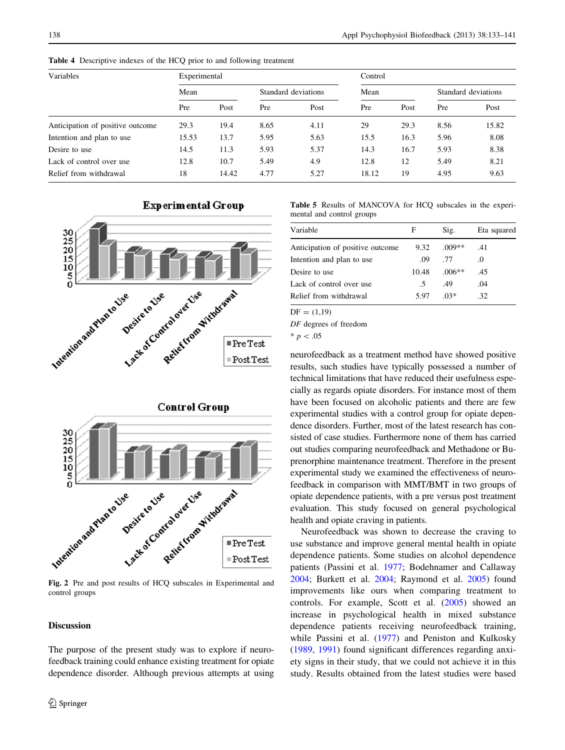| Variables                        | Experimental |       |                     |      | Control |      |                     |       |
|----------------------------------|--------------|-------|---------------------|------|---------|------|---------------------|-------|
|                                  | Mean         |       | Standard deviations |      | Mean    |      | Standard deviations |       |
|                                  | Pre          | Post  | Pre                 | Post | Pre     | Post | Pre                 | Post  |
| Anticipation of positive outcome | 29.3         | 19.4  | 8.65                | 4.11 | 29      | 29.3 | 8.56                | 15.82 |
| Intention and plan to use        | 15.53        | 13.7  | 5.95                | 5.63 | 15.5    | 16.3 | 5.96                | 8.08  |
| Desire to use                    | 14.5         | 11.3  | 5.93                | 5.37 | 14.3    | 16.7 | 5.93                | 8.38  |
| Lack of control over use         | 12.8         | 10.7  | 5.49                | 4.9  | 12.8    | 12   | 5.49                | 8.21  |
| Relief from withdrawal           | 18           | 14.42 | 4.77                | 5.27 | 18.12   | 19   | 4.95                | 9.63  |

<span id="page-5-0"></span>Table 4 Descriptive indexes of the HCQ prior to and following treatment



**Experimental Group** 



Fig. 2 Pre and post results of HCQ subscales in Experimental and control groups

# **Discussion**

The purpose of the present study was to explore if neurofeedback training could enhance existing treatment for opiate dependence disorder. Although previous attempts at using

Table 5 Results of MANCOVA for HCQ subscales in the experimental and control groups

| Variable                         | F     | Sig.     | Eta squared |
|----------------------------------|-------|----------|-------------|
| Anticipation of positive outcome | 9.32  | $.009**$ | .41         |
| Intention and plan to use        | .09   | .77      | $\Omega$    |
| Desire to use                    | 10.48 | $.006**$ | .45         |
| Lack of control over use         | -5    | .49      | .04         |
| Relief from withdrawal           | 5.97  | $.03*$   | .32         |
|                                  |       |          |             |

 $DF = (1.19)$ 

DF degrees of freedom

 $* p < .05$ 

neurofeedback as a treatment method have showed positive results, such studies have typically possessed a number of technical limitations that have reduced their usefulness especially as regards opiate disorders. For instance most of them have been focused on alcoholic patients and there are few experimental studies with a control group for opiate dependence disorders. Further, most of the latest research has consisted of case studies. Furthermore none of them has carried out studies comparing neurofeedback and Methadone or Buprenorphine maintenance treatment. Therefore in the present experimental study we examined the effectiveness of neurofeedback in comparison with MMT/BMT in two groups of opiate dependence patients, with a pre versus post treatment evaluation. This study focused on general psychological health and opiate craving in patients.

Neurofeedback was shown to decrease the craving to use substance and improve general mental health in opiate dependence patients. Some studies on alcohol dependence patients (Passini et al. [1977](#page-8-0); Bodehnamer and Callaway [2004](#page-7-0); Burkett et al. [2004](#page-7-0); Raymond et al. [2005\)](#page-8-0) found improvements like ours when comparing treatment to controls. For example, Scott et al. ([2005\)](#page-8-0) showed an increase in psychological health in mixed substance dependence patients receiving neurofeedback training, while Passini et al. ([1977\)](#page-8-0) and Peniston and Kulkosky [\(1989](#page-8-0), [1991](#page-8-0)) found significant differences regarding anxiety signs in their study, that we could not achieve it in this study. Results obtained from the latest studies were based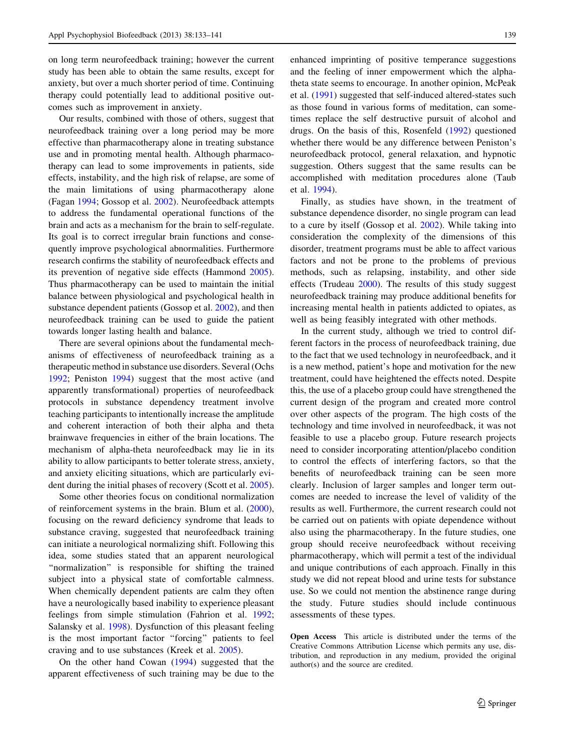on long term neurofeedback training; however the current study has been able to obtain the same results, except for anxiety, but over a much shorter period of time. Continuing therapy could potentially lead to additional positive outcomes such as improvement in anxiety.

Our results, combined with those of others, suggest that neurofeedback training over a long period may be more effective than pharmacotherapy alone in treating substance use and in promoting mental health. Although pharmacotherapy can lead to some improvements in patients, side effects, instability, and the high risk of relapse, are some of the main limitations of using pharmacotherapy alone (Fagan [1994;](#page-7-0) Gossop et al. [2002\)](#page-7-0). Neurofeedback attempts to address the fundamental operational functions of the brain and acts as a mechanism for the brain to self-regulate. Its goal is to correct irregular brain functions and consequently improve psychological abnormalities. Furthermore research confirms the stability of neurofeedback effects and its prevention of negative side effects (Hammond [2005](#page-7-0)). Thus pharmacotherapy can be used to maintain the initial balance between physiological and psychological health in substance dependent patients (Gossop et al. [2002\)](#page-7-0), and then neurofeedback training can be used to guide the patient towards longer lasting health and balance.

There are several opinions about the fundamental mechanisms of effectiveness of neurofeedback training as a therapeutic method in substance use disorders. Several (Ochs [1992;](#page-8-0) Peniston [1994\)](#page-8-0) suggest that the most active (and apparently transformational) properties of neurofeedback protocols in substance dependency treatment involve teaching participants to intentionally increase the amplitude and coherent interaction of both their alpha and theta brainwave frequencies in either of the brain locations. The mechanism of alpha-theta neurofeedback may lie in its ability to allow participants to better tolerate stress, anxiety, and anxiety eliciting situations, which are particularly evident during the initial phases of recovery (Scott et al. [2005](#page-8-0)).

Some other theories focus on conditional normalization of reinforcement systems in the brain. Blum et al. [\(2000](#page-7-0)), focusing on the reward deficiency syndrome that leads to substance craving, suggested that neurofeedback training can initiate a neurological normalizing shift. Following this idea, some studies stated that an apparent neurological "normalization" is responsible for shifting the trained subject into a physical state of comfortable calmness. When chemically dependent patients are calm they often have a neurologically based inability to experience pleasant feelings from simple stimulation (Fahrion et al. [1992](#page-7-0); Salansky et al. [1998\)](#page-8-0). Dysfunction of this pleasant feeling is the most important factor ''forcing'' patients to feel craving and to use substances (Kreek et al. [2005\)](#page-7-0).

On the other hand Cowan ([1994\)](#page-7-0) suggested that the apparent effectiveness of such training may be due to the

enhanced imprinting of positive temperance suggestions and the feeling of inner empowerment which the alphatheta state seems to encourage. In another opinion, McPeak et al. [\(1991](#page-8-0)) suggested that self-induced altered-states such as those found in various forms of meditation, can sometimes replace the self destructive pursuit of alcohol and drugs. On the basis of this, Rosenfeld [\(1992](#page-8-0)) questioned whether there would be any difference between Peniston's neurofeedback protocol, general relaxation, and hypnotic suggestion. Others suggest that the same results can be accomplished with meditation procedures alone (Taub et al. [1994\)](#page-8-0).

Finally, as studies have shown, in the treatment of substance dependence disorder, no single program can lead to a cure by itself (Gossop et al. [2002](#page-7-0)). While taking into consideration the complexity of the dimensions of this disorder, treatment programs must be able to affect various factors and not be prone to the problems of previous methods, such as relapsing, instability, and other side effects (Trudeau [2000\)](#page-8-0). The results of this study suggest neurofeedback training may produce additional benefits for increasing mental health in patients addicted to opiates, as well as being feasibly integrated with other methods.

In the current study, although we tried to control different factors in the process of neurofeedback training, due to the fact that we used technology in neurofeedback, and it is a new method, patient's hope and motivation for the new treatment, could have heightened the effects noted. Despite this, the use of a placebo group could have strengthened the current design of the program and created more control over other aspects of the program. The high costs of the technology and time involved in neurofeedback, it was not feasible to use a placebo group. Future research projects need to consider incorporating attention/placebo condition to control the effects of interfering factors, so that the benefits of neurofeedback training can be seen more clearly. Inclusion of larger samples and longer term outcomes are needed to increase the level of validity of the results as well. Furthermore, the current research could not be carried out on patients with opiate dependence without also using the pharmacotherapy. In the future studies, one group should receive neurofeedback without receiving pharmacotherapy, which will permit a test of the individual and unique contributions of each approach. Finally in this study we did not repeat blood and urine tests for substance use. So we could not mention the abstinence range during the study. Future studies should include continuous assessments of these types.

Open Access This article is distributed under the terms of the Creative Commons Attribution License which permits any use, distribution, and reproduction in any medium, provided the original author(s) and the source are credited.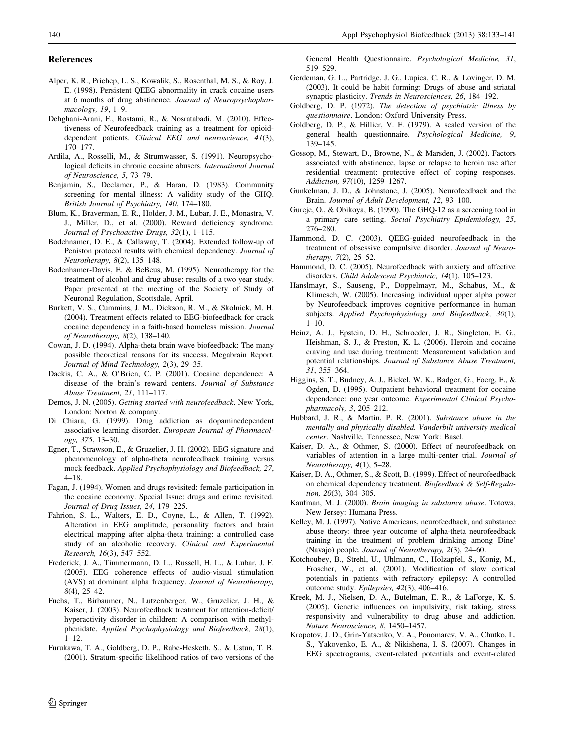#### <span id="page-7-0"></span>References

- Alper, K. R., Prichep, L. S., Kowalik, S., Rosenthal, M. S., & Roy, J. E. (1998). Persistent QEEG abnormality in crack cocaine users at 6 months of drug abstinence. Journal of Neuropsychopharmacology, 19, 1–9.
- Dehghani-Arani, F., Rostami, R., & Nosratabadi, M. (2010). Effectiveness of Neurofeedback training as a treatment for opioiddependent patients. Clinical EEG and neuroscience, 41(3), 170–177.
- Ardila, A., Rosselli, M., & Strumwasser, S. (1991). Neuropsychological deficits in chronic cocaine abusers. International Journal of Neuroscience, 5, 73–79.
- Benjamin, S., Declamer, P., & Haran, D. (1983). Community screening for mental illness: A validity study of the GHQ. British Journal of Psychiatry, 140, 174–180.
- Blum, K., Braverman, E. R., Holder, J. M., Lubar, J. E., Monastra, V. J., Miller, D., et al. (2000). Reward deficiency syndrome. Journal of Psychoactive Drugs, 32(1), 1–115.
- Bodehnamer, D. E., & Callaway, T. (2004). Extended follow-up of Peniston protocol results with chemical dependency. Journal of Neurotherapy, 8(2), 135–148.
- Bodenhamer-Davis, E. & BeBeus, M. (1995). Neurotherapy for the treatment of alcohol and drug abuse: results of a two year study. Paper presented at the meeting of the Society of Study of Neuronal Regulation, Scottsdale, April.
- Burkett, V. S., Cummins, J. M., Dickson, R. M., & Skolnick, M. H. (2004). Treatment effects related to EEG-biofeedback for crack cocaine dependency in a faith-based homeless mission. Journal of Neurotherapy, 8(2), 138–140.
- Cowan, J. D. (1994). Alpha-theta brain wave biofeedback: The many possible theoretical reasons for its success. Megabrain Report. Journal of Mind Technology, 2(3), 29–35.
- Dackis, C. A., & O'Brien, C. P. (2001). Cocaine dependence: A disease of the brain's reward centers. Journal of Substance Abuse Treatment, 21, 111–117.
- Demos, J. N. (2005). Getting started with neurofeedback. New York, London: Norton & company.
- Di Chiara, G. (1999). Drug addiction as dopaminedependent associative learning disorder. European Journal of Pharmacology, 375, 13–30.
- Egner, T., Strawson, E., & Gruzelier, J. H. (2002). EEG signature and phenomenology of alpha-theta neurofeedback training versus mock feedback. Applied Psychophysiology and Biofeedback, 27, 4–18.
- Fagan, J. (1994). Women and drugs revisited: female participation in the cocaine economy. Special Issue: drugs and crime revisited. Journal of Drug Issues, 24, 179–225.
- Fahrion, S. L., Walters, E. D., Coyne, L., & Allen, T. (1992). Alteration in EEG amplitude, personality factors and brain electrical mapping after alpha-theta training: a controlled case study of an alcoholic recovery. Clinical and Experimental Research, 16(3), 547–552.
- Frederick, J. A., Timmermann, D. L., Russell, H. L., & Lubar, J. F. (2005). EEG coherence effects of audio-visual stimulation (AVS) at dominant alpha frequency. Journal of Neurotherapy, 8(4), 25–42.
- Fuchs, T., Birbaumer, N., Lutzenberger, W., Gruzelier, J. H., & Kaiser, J. (2003). Neurofeedback treatment for attention-deficit/ hyperactivity disorder in children: A comparison with methylphenidate. Applied Psychophysiology and Biofeedback, 28(1),  $1 - 12$ .
- Furukawa, T. A., Goldberg, D. P., Rabe-Hesketh, S., & Ustun, T. B. (2001). Stratum-specific likelihood ratios of two versions of the

General Health Questionnaire. Psychological Medicine, 31, 519–529.

- Gerdeman, G. L., Partridge, J. G., Lupica, C. R., & Lovinger, D. M. (2003). It could be habit forming: Drugs of abuse and striatal synaptic plasticity. Trends in Neurosciences, 26, 184–192.
- Goldberg, D. P. (1972). The detection of psychiatric illness by questionnaire. London: Oxford University Press.
- Goldberg, D. P., & Hillier, V. F. (1979). A scaled version of the general health questionnaire. Psychological Medicine, 9, 139–145.
- Gossop, M., Stewart, D., Browne, N., & Marsden, J. (2002). Factors associated with abstinence, lapse or relapse to heroin use after residential treatment: protective effect of coping responses. Addiction, 97(10), 1259–1267.
- Gunkelman, J. D., & Johnstone, J. (2005). Neurofeedback and the Brain. Journal of Adult Development, 12, 93–100.
- Gureje, O., & Obikoya, B. (1990). The GHQ-12 as a screening tool in a primary care setting. Social Psychiatry Epidemiology, 25, 276–280.
- Hammond, D. C. (2003). QEEG-guided neurofeedback in the treatment of obsessive compulsive disorder. Journal of Neurotherapy, 7(2), 25–52.
- Hammond, D. C. (2005). Neurofeedback with anxiety and affective disorders. Child Adolescent Psychiatric, 14(1), 105–123.
- Hanslmayr, S., Sauseng, P., Doppelmayr, M., Schabus, M., & Klimesch, W. (2005). Increasing individual upper alpha power by Neurofeedback improves cognitive performance in human subjects. Applied Psychophysiology and Biofeedback, 30(1),  $1 - 10$ .
- Heinz, A. J., Epstein, D. H., Schroeder, J. R., Singleton, E. G., Heishman, S. J., & Preston, K. L. (2006). Heroin and cocaine craving and use during treatment: Measurement validation and potential relationships. Journal of Substance Abuse Treatment, 31, 355–364.
- Higgins, S. T., Budney, A. J., Bickel, W. K., Badger, G., Foerg, F., & Ogden, D. (1995). Outpatient behavioral treatment for cocaine dependence: one year outcome. Experimental Clinical Psychopharmacoly, 3, 205–212.
- Hubbard, J. R., & Martin, P. R. (2001). Substance abuse in the mentally and physically disabled. Vanderbilt university medical center. Nashville, Tennessee, New York: Basel.
- Kaiser, D. A., & Othmer, S. (2000). Effect of neurofeedback on variables of attention in a large multi-center trial. Journal of Neurotherapy, 4(1), 5–28.
- Kaiser, D. A., Othmer, S., & Scott, B. (1999). Effect of neurofeedback on chemical dependency treatment. Biofeedback & Self-Regulation, 20(3), 304–305.
- Kaufman, M. J. (2000). Brain imaging in substance abuse. Totowa, New Jersey: Humana Press.
- Kelley, M. J. (1997). Native Americans, neurofeedback, and substance abuse theory: three year outcome of alpha-theta neurofeedback training in the treatment of problem drinking among Dine' (Navajo) people. Journal of Neurotherapy, 2(3), 24–60.
- Kotchoubey, B., Strehl, U., Uhlmann, C., Holzapfel, S., Konig, M., Froscher, W., et al. (2001). Modification of slow cortical potentials in patients with refractory epilepsy: A controlled outcome study. Epilepsies, 42(3), 406–416.
- Kreek, M. J., Nielsen, D. A., Butelman, E. R., & LaForge, K. S. (2005). Genetic influences on impulsivity, risk taking, stress responsivity and vulnerability to drug abuse and addiction. Nature Neuroscience, 8, 1450–1457.
- Kropotov, J. D., Grin-Yatsenko, V. A., Ponomarev, V. A., Chutko, L. S., Yakovenko, E. A., & Nikishena, I. S. (2007). Changes in EEG spectrograms, event-related potentials and event-related